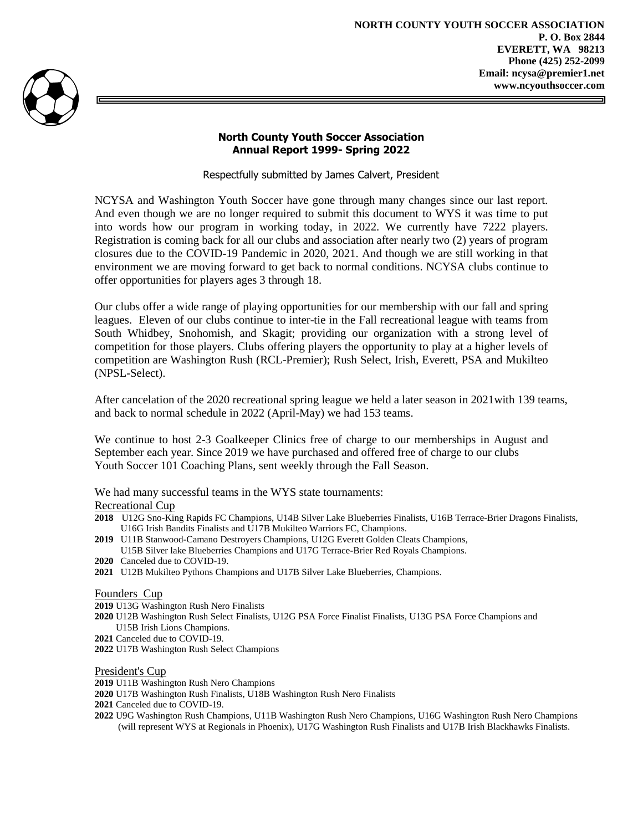

## **North County Youth Soccer Association Annual Report 1999- Spring 2022**

Respectfully submitted by James Calvert, President

NCYSA and Washington Youth Soccer have gone through many changes since our last report. And even though we are no longer required to submit this document to WYS it was time to put into words how our program in working today, in 2022. We currently have 7222 players. Registration is coming back for all our clubs and association after nearly two (2) years of program closures due to the COVID-19 Pandemic in 2020, 2021. And though we are still working in that environment we are moving forward to get back to normal conditions. NCYSA clubs continue to offer opportunities for players ages 3 through 18.

Our clubs offer a wide range of playing opportunities for our membership with our fall and spring leagues. Eleven of our clubs continue to inter-tie in the Fall recreational league with teams from South Whidbey, Snohomish, and Skagit; providing our organization with a strong level of competition for those players. Clubs offering players the opportunity to play at a higher levels of competition are Washington Rush (RCL-Premier); Rush Select, Irish, Everett, PSA and Mukilteo (NPSL-Select).

After cancelation of the 2020 recreational spring league we held a later season in 2021with 139 teams, and back to normal schedule in 2022 (April-May) we had 153 teams.

We continue to host 2-3 Goalkeeper Clinics free of charge to our memberships in August and September each year. Since 2019 we have purchased and offered free of charge to our clubs Youth Soccer 101 Coaching Plans, sent weekly through the Fall Season.

We had many successful teams in the WYS state tournaments:

## Recreational Cup

- **2018** U12G Sno-King Rapids FC Champions, U14B Silver Lake Blueberries Finalists, U16B Terrace-Brier Dragons Finalists, U16G Irish Bandits Finalists and U17B Mukilteo Warriors FC, Champions.
- **2019** U11B Stanwood-Camano Destroyers Champions, U12G Everett Golden Cleats Champions, U15B Silver lake Blueberries Champions and U17G Terrace-Brier Red Royals Champions.
- **2020** Canceled due to COVID-19.
- **2021** U12B Mukilteo Pythons Champions and U17B Silver Lake Blueberries, Champions.

## Founders Cup

- **2019** U13G Washington Rush Nero Finalists
- **2020** U12B Washington Rush Select Finalists, U12G PSA Force Finalist Finalists, U13G PSA Force Champions and
- U15B Irish Lions Champions.
- **2021** Canceled due to COVID-19.
- **2022** U17B Washington Rush Select Champions

## President's Cup

- **2019** U11B Washington Rush Nero Champions
- **2020** U17B Washington Rush Finalists, U18B Washington Rush Nero Finalists
- **2021** Canceled due to COVID-19.
- **2022** U9G Washington Rush Champions, U11B Washington Rush Nero Champions, U16G Washington Rush Nero Champions (will represent WYS at Regionals in Phoenix), U17G Washington Rush Finalists and U17B Irish Blackhawks Finalists.